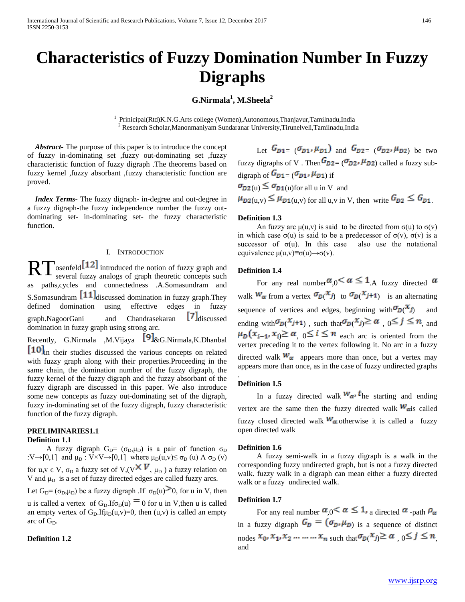# **Characteristics of Fuzzy Domination Number In Fuzzy Digraphs**

**G.Nirmala<sup>1</sup> , M.Sheela<sup>2</sup>**

1 Prinicipal(Rtd)K.N.G.Arts college (Women),Autonomous,Thanjavur,Tamilnadu,India 2 Research Scholar,Manonmaniyam Sundaranar University,Tirunelveli,Tamilnadu,India

 *Abstract***-** The purpose of this paper is to introduce the concept of fuzzy in-dominating set ,fuzzy out-dominating set ,fuzzy characteristic function of fuzzy digraph .The theorems based on fuzzy kernel ,fuzzy absorbant ,fuzzy characteristic function are proved.

 *Index Terms*- The fuzzy digraph- in-degree and out-degree in a fuzzy digraph-the fuzzy independence number the fuzzy outdominating set- in-dominating set- the fuzzy characteristic function.

# I. INTRODUCTION

osenfeld  $\Box$  introduced the notion of fuzzy graph and RT osenfeld<sup>[12]</sup> introduced the notion of fuzzy graph and several fuzzy analogs of graph theoretic concepts such as paths,cycles and connectedness .A.Somasundram and S.Somasundram  $\left[\begin{matrix}11\end{matrix}\right]$  discussed domination in fuzzy graph. They defined domination using effective edges in fuzzy  $graph.NaqoorGani$  and Chandrasekaran  $\mathcal{F}I_{discussed}$ domination in fuzzy graph using strong arc.

Recently, G.Nirmala ,M.Vijaya  $[9]$ &G.Nirmala,K.Dhanbal [10]<sub>in</sub> their studies discussed the various concepts on related with fuzzy graph along with their properties.Proceeding in the same chain, the domination number of the fuzzy digraph, the fuzzy kernel of the fuzzy digraph and the fuzzy absorbant of the fuzzy digraph are discussed in this paper. We also introduce some new concepts as fuzzy out-dominating set of the digraph, fuzzy in-dominating set of the fuzzy digraph, fuzzy characteristic function of the fuzzy digraph.

# **PRELIMINARIES1.1 Definition 1.1**

A fuzzy digraph  $G_D = (\sigma_D, \mu_D)$  is a pair of function  $\sigma_D$ :V $\rightarrow$ [0,1] and  $\mu_D$  : V $\times$ V $\rightarrow$ [0,1] where  $\mu_D(u,v) \leq \sigma_D(u) \Lambda \sigma_D(v)$ for u,v  $\epsilon$  V,  $\sigma_D$  a fuzzy set of V,(V<sup> $\star$  V</sup>,  $\mu_D$ ) a fuzzy relation on V and  $\mu_D$  is a set of fuzzy directed edges are called fuzzy arcs.

Let  $G_D = (\sigma_D, \mu_D)$  be a fuzzy digraph .If  $\sigma_D(u) > 0$ , for u in V, then u is called a vertex of  $G_D$ . If  $\sigma_D(u) = 0$  for u in V, then u is called

an empty vertex of  $G<sub>D</sub>$ . If  $\mu<sub>D</sub>(u,v)=0$ , then  $(u,v)$  is called an empty arc of  $G_D$ .

# **Definition 1.2**

Let  $G_{D1} = (\sigma_{D1}, \mu_{D1})$  and  $G_{D2} = (\sigma_{D2}, \mu_{D2})$  be two fuzzy digraphs of V. Then  $G_{D2} = (\sigma_{D2}, \mu_{D2})$  called a fuzzy subdigraph of  $G_{D1} = (\sigma_{D1}, \mu_{D1})$  if  $\sigma_{D2}(u) \leq \sigma_{D1}(u)$  for all u in V and

 $\mu_{D2(u,v)} \leq \mu_{D1(u,v)}$  for all u,v in V, then write  $G_{D2} \leq G_{D1}$ .

#### **Definition 1.3**

An fuzzy arc  $\mu(u, v)$  is said to be directed from  $\sigma(u)$  to  $\sigma(v)$ in which case σ(u) is said to be a predecessor of σ(v), σ(v) is a successor of  $\sigma(u)$ . In this case also use the notational equivalence μ(u,v)≡σ(u)→σ(v).

#### **Definition 1.4**

For any real number  $\alpha_0 < \alpha \leq 1$ . A fuzzy directed  $\alpha$ walk  $W_{\alpha}$  from a vertex  $\sigma_{D}(x_j)$  to  $\sigma_{D}(x_{j+1})$  is an alternating sequence of vertices and edges, beginning with  $\sigma_{D}(x_j)$  and ending with  $\sigma_D(X_{j+1})$ , such that  $\sigma_D(X_j) \ge \alpha$ ,  $0 \le j \le n$ , and  $\mu_D(\mathbf{x}_{i-1}, \mathbf{x}_i) \ge \alpha \quad 0 \le i \le n$  each arc is oriented from the vertex preceding it to the vertex following it. No arc in a fuzzy directed walk  $W_{\alpha}$  appears more than once, but a vertex may appears more than once, as in the case of fuzzy undirected graphs

# **Definition 1.5**

.

In a fuzzy directed walk  $W_{\alpha}$  the starting and ending vertex are the same then the fuzzy directed walk  $W_{\alpha}$  is called fuzzy closed directed walk  $W_{\alpha}$  otherwise it is called a fuzzy open directed walk

#### **Definition 1.6**

 A fuzzy semi-walk in a fuzzy digraph is a walk in the corresponding fuzzy undirected graph, but is not a fuzzy directed walk. fuzzy walk in a digraph can mean either a fuzzy directed walk or a fuzzy undirected walk.

#### **Definition 1.7**

For any real number  $\alpha_{.0} < \alpha \leq 1$ , a directed  $\alpha$ -path  $\rho_{\alpha}$ in a fuzzy digraph  $G_{\mathbb{D}} = (\sigma_{\mathbb{D}^p} \mu_{\mathbb{D}})$  is a sequence of distinct nodes  $x_0, x_1, x_2, \ldots, x_n$  such that  $\sigma_p(x_j) \ge \alpha, 0 \le j \le n$ , and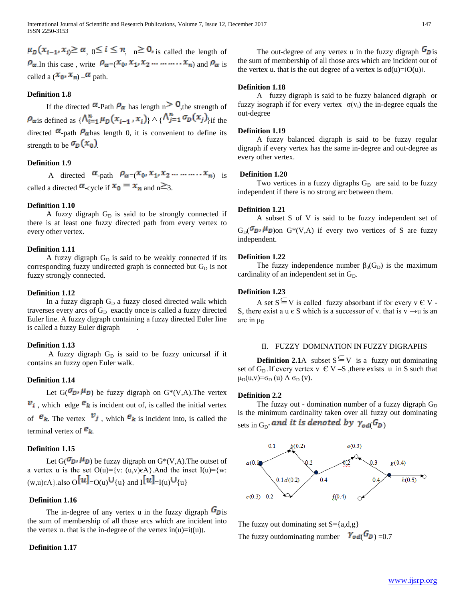$\mu_D(x_{i-1}, x_i) \ge \alpha$ ,  $0 \le i \le n$ ,  $n \ge 0$ , is called the length of  $P_{\alpha}$ . In this case, write  $P_{\alpha} = (x_0, x_1, x_2, \dots, x_n)$  and  $P_{\alpha}$  is called a  $(\mathbf{x}_0, \mathbf{x}_n) - \boldsymbol{\alpha}$  path.

# **Definition 1.8**

If the directed  $\alpha$ -Path  $\rho_{\alpha}$  has length n  $> 0$ , the strength of  $\rho_{\text{axis}}$  defined as  $\{\Lambda_{i=1}^n \mu_D(x_{i-1}, x_i)\}\wedge \{\Lambda_{j=1}^n \sigma_D(x_j)\}_{i\text{if the}}$ directed  $\alpha$ -path  $\rho_{\alpha}$  has length 0, it is convenient to define its strength to be  $\sigma_{p}(x_{0})$ .

# **Definition 1.9**

A directed  $\alpha$ -path  $\rho_{\alpha=(}x_0, x_1, x_2, \ldots, x_n)$  is called a directed  $\alpha$ -cycle if  $x_0 = x_n$  and  $n \ge 3$ .

# **Definition 1.10**

A fuzzy digraph  $G_D$  is said to be strongly connected if there is at least one fuzzy directed path from every vertex to every other vertex.

# **Definition 1.11**

A fuzzy digraph  $G_D$  is said to be weakly connected if its corresponding fuzzy undirected graph is connected but  $G_D$  is not fuzzy strongly connected.

# **Definition 1.12**

In a fuzzy digraph  $G_D$  a fuzzy closed directed walk which traverses every arcs of  $G_D$  exactly once is called a fuzzy directed Euler line. A fuzzy digraph containing a fuzzy directed Euler line is called a fuzzy Euler digraph

#### **Definition 1.13**

A fuzzy digraph  $G_D$  is said to be fuzzy unicursal if it contains an fuzzy open Euler walk.

# **Definition 1.14**

Let  $G(\mathbf{Z}_{\mathbf{D}^{\mathrm{J}}}\mathbf{H}_{\mathbf{D}})$  be fuzzy digraph on  $G^*(V,A)$ . The vertex  $\mathbf{v}_i$ , which edge  $\mathbf{e}_k$  is incident out of, is called the initial vertex of  $\mathcal{E}_{k}$ . The vertex  $v_j$ , which  $\mathcal{E}_{k}$  is incident into, is called the terminal vertex of  $\mathbf{e}_k$ .

# **Definition 1.15**

Let  $G(\mathcal{T}_{D^1} \mu_D)$  be fuzzy digraph on  $G^*(V,A)$ . The outset of a vertex u is the set  $O(u) = \{v: (u,v) \in A\}$ . And the inset  $I(u) = \{w:$  $(w,u)\in A$ } also  $O[\![u]\!]_{=O(u)}\cup_{\{u\}}$  and  $I[\![u]\!]_{=I(u)}\cup_{\{u\}}$ 

#### **Definition 1.16**

The in-degree of any vertex u in the fuzzy digraph  $\sigma_{\text{Dis}}$ the sum of membership of all those arcs which are incident into the vertex u. that is the in-degree of the vertex  $in(u)=i|(u)|$ .

# **Definition 1.17**

The out-degree of any vertex u in the fuzzy digraph  $G_{\text{Dis}}$ the sum of membership of all those arcs which are incident out of the vertex u. that is the out degree of a vertex is  $od(u)=|O(u)|$ .

# **Definition 1.18**

 A fuzzy digraph is said to be fuzzy balanced digraph or fuzzy isograph if for every vertex  $\sigma(v_i)$  the in-degree equals the out-degree

#### **Definition 1.19**

 A fuzzy balanced digraph is said to be fuzzy regular digraph if every vertex has the same in-degree and out-degree as every other vertex.

### **Definition 1.20**

Two vertices in a fuzzy digraphs  $G_D$  are said to be fuzzy independent if there is no strong arc between them.

# **Definition 1.21**

 A subset S of V is said to be fuzzy independent set of  $G_{D}(\sigma_{D} \mu_{D})$  on  $G^{*}(V,A)$  if every two vertices of S are fuzzy independent.

#### **Definition 1.22**

The fuzzy independence number  $\beta_0(G_D)$  is the maximum cardinality of an independent set in  $G<sub>D</sub>$ .

# **Definition 1.23**

A set  $S \subseteq V$  is called fuzzy absorbant if for every  $v \in V$  -S, there exist a u  $\epsilon$  S which is a successor of v. that is  $v \rightarrow u$  is an arc in  $\mu_D$ 

# II. FUZZY DOMINATION IN FUZZY DIGRAPHS

**Definition 2.1**A subset  $S \subseteq V$  is a fuzzy out dominating set of  $G_D$ . If every vertex v  $\in V - S$ , there exists u in S such that  $\mu_D(u,v)=\sigma_D(u)$  Λ  $\sigma_D(v)$ .

#### **Definition 2.2**

The fuzzy out - domination number of a fuzzy digraph  $G_D$ is the minimum cardinality taken over all fuzzy out dominating sets in  $G_D$  and it is denoted by  $\gamma_{od}(G_D)$ 



The fuzzy out dominating set  $S = \{a,d,g\}$ The fuzzy outdominating number  $Y_{\text{od}}(G_{D}) = 0.7$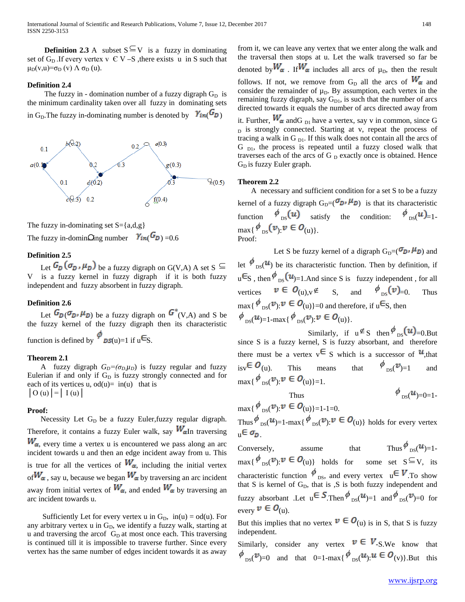**Definition 2.3** A subset  $S \subseteq V$  is a fuzzy in dominating set of  $G_D$ . If every vertex v  $\in V - S$ , there exists u in S such that  $μ_D(v,u)=σ_D(v)$   $Λ σ_D(u)$ .

#### **Definition 2.4**

The fuzzy in - domination number of a fuzzy digraph  $G_D$  is the minimum cardinality taken over all fuzzy in dominating sets in G<sub>D</sub>. The fuzzy in-dominating number is denoted by  $\gamma_{in}$  ( $G_D$ )



The fuzzy in-dominating set  $S = \{a,d,g\}$ 

The fuzzy in-domin $\Omega$ ng number  $Y_{in}(F_D) = 0.6$ 

# **Definition 2.5**

Let  $G_D(\sigma_D, \mu_D)$  be a fuzzy digraph on G(V,A) A set S  $\subseteq$ V is a fuzzy kernel in fuzzy digraph if it is both fuzzy independent and fuzzy absorbent in fuzzy digraph.

# **Definition 2.6**

Let  $G_{\mathcal{D}}(\sigma_{\mathcal{D}}, \mu_{\mathcal{D}})$  be a fuzzy digraph on  $G^*(V,A)$  and S be the fuzzy kernel of the fuzzy digraph then its characteristic function is defined by  $\mathcal{P}_{DS(u)=1}$  if  $u \in S$ .

## **Theorem 2.1**

A fuzzy digraph  $G_D = (\sigma_D \mu_D)$  is fuzzy regular and fuzzy Eulerian if and only if  $G_D$  is fuzzy strongly connected and for each of its vertices u,  $od(u) = in(u)$  that is  $\vert$  O (u)  $\vert$  =  $\vert$  I (u)  $\vert$ 

#### **Proof:**

Necessity Let  $G_D$  be a fuzzy Euler, fuzzy regular digraph. Therefore, it contains a fuzzy Euler walk, say  $W_{\alpha}$ In traversing  $W_{\alpha}$ , every time a vertex u is encountered we pass along an arc incident towards u and then an edge incident away from u. This is true for all the vertices of  $W_{\alpha}$ , including the initial vertex of  $W_{\alpha}$ , say u, because we began  $W_{\alpha}$  by traversing an arc incident away from initial vertex of  $W_{\alpha}$ , and ended  $W_{\alpha}$  by traversing an arc incident towards u.

Sufficiently Let for every vertex u in  $G_D$ , in(u) = od(u). For any arbitrary vertex u in  $G<sub>D</sub>$ , we identify a fuzzy walk, starting at u and traversing the arcof  $G<sub>D</sub>$  at most once each. This traversing is continued till it is impossible to traverse further. Since every vertex has the same number of edges incident towards it as away

from it, we can leave any vertex that we enter along the walk and the traversal then stops at u. Let the walk traversed so far be denoted by  $W_{\alpha}$ . If  $W_{\alpha}$  includes all arcs of  $\mu_{\rm D}$ , then the result follows. If not, we remove from G<sub>D</sub> all the arcs of  $W_{\alpha}$  and consider the remainder of  $\mu_D$ . By assumption, each vertex in the remaining fuzzy digraph, say  $G_{D1}$ , is such that the number of arcs directed towards it equals the number of arcs directed away from it. Further,  $W_{\alpha}$  and  $G_{\text{D1}}$  have a vertex, say v in common, since G D is strongly connected. Starting at v, repeat the process of tracing a walk in G  $_{\text{DI}}$ . If this walk does not contain all the arcs of  $G<sub>DI</sub>$ , the process is repeated until a fuzzy closed walk that traverses each of the arcs of G  $_D$  exactly once is obtained. Hence  $G_D$  is fuzzy Euler graph.

#### **Theorem 2.2**

 A necessary and sufficient condition for a set S to be a fuzzy kernel of a fuzzy digraph  $G_D=(\sigma_D, \mu_D)$  is that its characteristic function  $\phi_{DS}(u)$  satisfy the condition:  $\phi_{DS}(u)$ =1- $\max\{\phi_{\text{DS}}(\mathbf{v}, \mathbf{v} \in \mathbf{O}_{(u)}\})$ . Proof:

Let S be fuzzy kernel of a digraph  $G_D=(\sigma_D,\mu_D)$  and let  $\phi_{DS}(u)$  be its characteristic function. Then by definition, if  $u \in S$ , then  $\oint_{S} (u) = 1$ . And since S is fuzzy independent, for all vertices  $v \in O_{(u),v} \notin S$ , and  $\phi_{DS}(v) = 0$ . Thus  $\max\{\phi_{DS}(\mathcal{V}): \mathcal{V} \in \mathcal{O}_{(u)}\} = 0$  and therefore, if  $u \in S$ , then  $\phi_{\text{ps}}(u) = 1-\max{\phi_{\text{ps}}(\mathcal{V}) : \mathcal{V} \in \mathcal{O}_{(u)}}.$ 

Similarly, if  $u \notin S$  then  $\phi_{DS}(u) = 0.$ But since S is a fuzzy kernel, S is fuzzy absorbant, and therefore there must be a vertex  $v \in S$  which is a successor of  $u$ , that  $isv \in \mathcal{O}_{(u)}$ . This means that  $\phi_{ps}(v)=1$  and  $\max\{\phi_{\text{ps}}(\mathbf{v}): \mathbf{v} \in \mathbf{O}_{(u)}\} = 1.$ 

Thus  $\phi_{\text{ps}}(\mathbf{u}_{0})=0=1$  $\max\{\phi_{\text{ps}}(\mathbf{v}): \mathbf{v} \in \mathbf{O}_{(u)}\} = 1-1=0.$ Thus  $\oint_{\text{res}} (\mathbf{u})=1-\max\{ \oint_{\text{res}} (\mathbf{v}) : \mathbf{v} \in \mathbf{O}_{(u)} \}$  holds for every vertex

$$
\mathbf{u} \in \sigma_{\mathbf{D}}.
$$

Conversely, assume that Thus  $\phi_{DS}(u) = 1$ .  $\max\{\phi_{DS}(\mathcal{V}): \mathcal{V} \in \mathcal{O}_{(u)}\}$  holds for some set  $S \subseteq V$ , its characteristic function  $\phi$ <sub>DS</sub>, and every vertex  $\mathbf{u} \in \mathbf{V}$ . To show that S is kernel of  $G_D$ , that is  $\zeta$  is both fuzzy independent and fuzzy absorbant .Let  $u \in S$ .Then  $\phi_{DS}(u) = 1$  and  $\phi_{DS}(v) = 0$  for every  $v \in O_{(u)}$ .

But this implies that no vertex  $v \in O_{(u)}$  is in S, that S is fuzzy independent.

Similarly, consider any vertex  $v \in V_{-S,We}$  know that  $\phi_{DS}(\mathcal{V})=0$  and that  $0=1-\max{\phi_{DS}(\mathcal{U}):\mathcal{U}\in\mathcal{O}_{(V)}}$ . But this